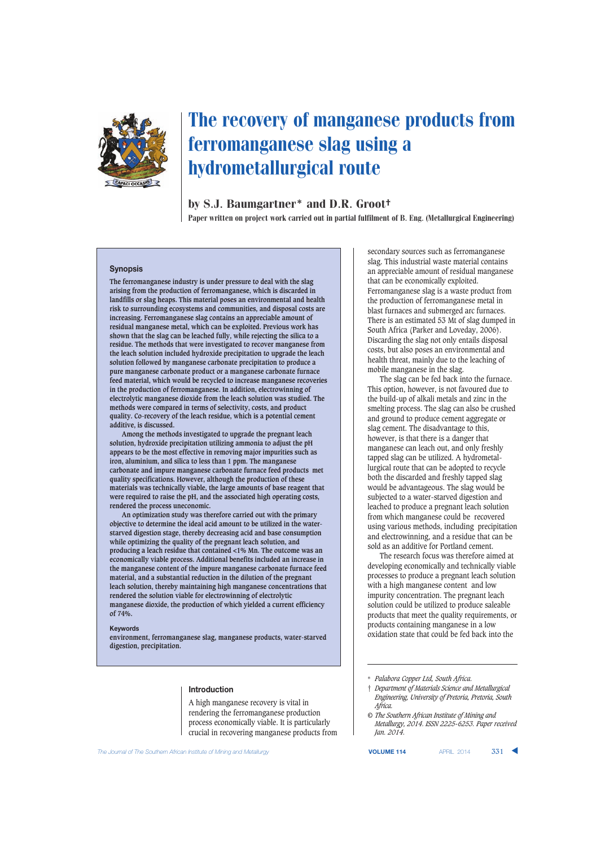

# The recovery of manganese products from ferromanganese slag using a hydrometallurgical route

# by S.J. Baumgartner\* and D.R. Groot†

Paper written on project work carried out in partial fulfilment of B. Eng. (Metallurgical Engineering)

#### **Synopsis**

**The ferromanganese industry is under pressure to deal with the slag arising from the production of ferromanganese, which is discarded in landfills or slag heaps. This material poses an environmental and health risk to surrounding ecosystems and communities, and disposal costs are increasing. Ferromanganese slag contains an appreciable amount of residual manganese metal, which can be exploited. Previous work has shown that the slag can be leached fully, while rejecting the silica to a residue. The methods that were investigated to recover manganese from the leach solution included hydroxide precipitation to upgrade the leach solution followed by manganese carbonate precipitation to produce a pure manganese carbonate product or a manganese carbonate furnace feed material, which would be recycled to increase manganese recoveries in the production of ferromanganese. In addition, electrowinning of electrolytic manganese dioxide from the leach solution was studied. The methods were compared in terms of selectivity, costs, and product quality. Co-recovery of the leach residue, which is a potential cement additive, is discussed.**

**Among the methods investigated to upgrade the pregnant leach solution, hydroxide precipitation utilizing ammonia to adjust the pH appears to be the most effective in removing major impurities such as iron, aluminium, and silica to less than 1 ppm. The manganese carbonate and impure manganese carbonate furnace feed products met quality specifications. However, although the production of these materials was technically viable, the large amounts of base reagent that were required to raise the pH, and the associated high operating costs, rendered the process uneconomic.**

**An optimization study was therefore carried out with the primary objective to determine the ideal acid amount to be utilized in the waterstarved digestion stage, thereby decreasing acid and base consumption while optimizing the quality of the pregnant leach solution, and producing a leach residue that contained <1% Mn. The outcome was an economically viable process. Additional benefits included an increase in the manganese content of the impure manganese carbonate furnace feed material, and a substantial reduction in the dilution of the pregnant leach solution, thereby maintaining high manganese concentrations that rendered the solution viable for electrowinning of electrolytic manganese dioxide, the production of which yielded a current efficiency of 74%.**

#### **Keywords**

**environment, ferromanganese slag, manganese products, water-starved digestion, precipitation.**

#### **Introduction**

A high manganese recovery is vital in rendering the ferromanganese production process economically viable. It is particularly crucial in recovering manganese products from secondary sources such as ferromanganese slag. This industrial waste material contains an appreciable amount of residual manganese that can be economically exploited. Ferromanganese slag is a waste product from the production of ferromanganese metal in blast furnaces and submerged arc furnaces. There is an estimated 53 Mt of slag dumped in South Africa (Parker and Loveday, 2006). Discarding the slag not only entails disposal costs, but also poses an environmental and health threat, mainly due to the leaching of mobile manganese in the slag.

The slag can be fed back into the furnace. This option, however, is not favoured due to the build-up of alkali metals and zinc in the smelting process. The slag can also be crushed and ground to produce cement aggregate or slag cement. The disadvantage to this, however, is that there is a danger that manganese can leach out, and only freshly tapped slag can be utilized. A hydrometallurgical route that can be adopted to recycle both the discarded and freshly tapped slag would be advantageous. The slag would be subjected to a water-starved digestion and leached to produce a pregnant leach solution from which manganese could be recovered using various methods, including precipitation and electrowinning, and a residue that can be sold as an additive for Portland cement.

The research focus was therefore aimed at developing economically and technically viable processes to produce a pregnant leach solution with a high manganese content and low impurity concentration. The pregnant leach solution could be utilized to produce saleable products that meet the quality requirements, or products containing manganese in a low oxidation state that could be fed back into the

*© The Southern African Institute of Mining and Metallurgy, 2014. ISSN 2225-6253. Paper received Jan. 2014.*

**The Journal of The Southern African Institute of Mining and Metallurgy <b>VOLUME 114** APRIL 2014 **331 ▲** 

<sup>\*</sup> *Palabora Copper Ltd, South Africa.*

<sup>†</sup> *Department of Materials Science and Metallurgical Engineering, University of Pretoria, Pretoria, South Africa.*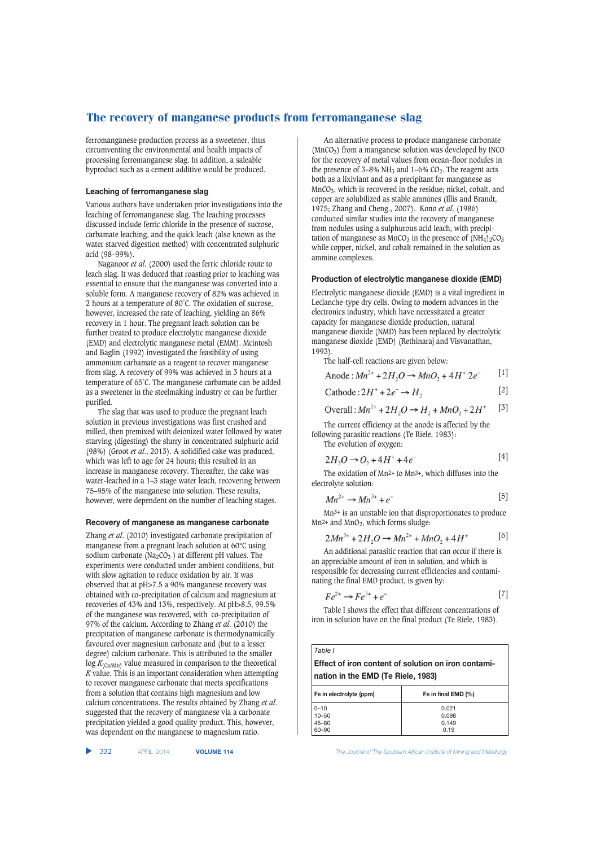ferromanganese production process as a sweetener, thus circumventing the environmental and health impacts of processing ferromanganese slag. In addition, a saleable byproduct such as a cement additive would be produced.

#### **Leaching of ferromanganese slag**

Various authors have undertaken prior investigations into the leaching of ferromanganese slag. The leaching processes discussed include ferric chloride in the presence of sucrose, carbamate leaching, and the quick leach (also known as the water starved digestion method) with concentrated sulphuric acid (98–99%).

Naganoor *et al*. (2000) used the ferric chloride route to leach slag. It was deduced that roasting prior to leaching was essential to ensure that the manganese was converted into a soluble form. A manganese recovery of 82% was achieved in 2 hours at a temperature of 80˚C. The oxidation of sucrose, however, increased the rate of leaching, yielding an 86% recovery in 1 hour. The pregnant leach solution can be further treated to produce electrolytic manganese dioxide (EMD) and electrolytic manganese metal (EMM). Mcintosh and Baglin (1992) investigated the feasibility of using ammonium carbamate as a reagent to recover manganese from slag. A recovery of 99% was achieved in 3 hours at a temperature of 65˚C. The manganese carbamate can be added as a sweetener in the steelmaking industry or can be further purified.

The slag that was used to produce the pregnant leach solution in previous investigations was first crushed and milled, then premixed with deionized water followed by water starving (digesting) the slurry in concentrated sulphuric acid (98%) (Groot *et al*., 2013). A solidified cake was produced, which was left to age for 24 hours; this resulted in an increase in manganese recovery. Thereafter, the cake was water-leached in a 1–3 stage water leach, recovering between 75–95% of the manganese into solution. These results, however, were dependent on the number of leaching stages.

#### **Recovery of manganese as manganese carbonate**

Zhang *et al*. (2010) investigated carbonate precipitation of manganese from a pregnant leach solution at 60°C using sodium carbonate ( $Na<sub>2</sub>CO<sub>3</sub>$ ) at different pH values. The experiments were conducted under ambient conditions, but with slow agitation to reduce oxidation by air. It was observed that at pH>7.5 a 90% manganese recovery was obtained with co-precipitation of calcium and magnesium at recoveries of 43% and 13%, respectively. At pH>8.5, 99.5% of the manganese was recovered, with co-precipitation of 97% of the calcium. According to Zhang *et al*. (2010) the precipitation of manganese carbonate is thermodynamically favoured over magnesium carbonate and (but to a lesser degree) calcium carbonate. This is attributed to the smaller  $log K_{(Ca/Mn)}$  value measured in comparison to the theoretical *K* value. This is an important consideration when attempting to recover manganese carbonate that meets specifications from a solution that contains high magnesium and low calcium concentrations. The results obtained by Zhang *et al*. suggested that the recovery of manganese via a carbonate precipitation yielded a good quality product. This, however, was dependent on the manganese to magnesium ratio.

▲

An alternative process to produce manganese carbonate  $(MnCO<sub>3</sub>)$  from a manganese solution was developed by INCO for the recovery of metal values from ocean-floor nodules in the presence of  $3-8\%$  NH<sub>3</sub> and  $1-6\%$  CO<sub>2</sub>. The reagent acts both as a lixiviant and as a precipitant for manganese as MnCO3, which is recovered in the residue; nickel, cobalt, and copper are solubilized as stable ammines (Illis and Brandt, 1975; Zhang and Cheng., 2007). Kono *et al*. (1986) conducted similar studies into the recovery of manganese from nodules using a sulphurous acid leach, with precipitation of manganese as  $\text{MnCO}_3$  in the presence of  $(\text{NH}_4)_2\text{CO}_3$ while copper, nickel, and cobalt remained in the solution as ammine complexes.

### **Production of electrolytic manganese dioxide (EMD)**

Electrolytic manganese dioxide (EMD) is a vital ingredient in Leclanche-type dry cells. Owing to modern advances in the electronics industry, which have necessitated a greater capacity for manganese dioxide production, natural manganese dioxide (NMD) has been replaced by electrolytic manganese dioxide (EMD) (Rethinaraj and Visvanathan, 1993).

The half-cell reactions are given below:

Anode : 
$$
Mn^{2+}
$$
 + 2H<sub>2</sub>O →  $MnO_2$  + 4H<sup>+</sup> 2e<sup>-</sup> [1]

$$
Cathode: 2H^+ + 2e^- \rightarrow H_2
$$
 [2]

Overall: 
$$
Mn^{2+} + 2H_2O \rightarrow H_2 + MnO_2 + 2H^+
$$
 [3]

The current efficiency at the anode is affected by the following parasitic reactions (Te Riele, 1983): The evolution of oxygen:

$$
2H_2O \to O_2 + 4H^+ + 4e^-
$$
 [4]

The oxidation of Mn2+ to Mn3+, which diffuses into the electrolyte solution:

$$
Mn^{2+} \to Mn^{3+} + e^-
$$
 [5]

Mn3+ is an unstable ion that disproportionates to produce  $Mn^{2+}$  and  $MnO_2$ , which forms sludge:

$$
2Mn^{3+} + 2H_2O \to Mn^{2+} + MnO_2 + 4H^+ \tag{6}
$$

An additional parasitic reaction that can occur if there is an appreciable amount of iron in solution, and which is responsible for decreasing current efficiencies and contaminating the final EMD product, is given by:

$$
Fe^{2+} \to Fe^{3+} + e^-
$$
 [7]

Table I shows the effect that different concentrations of iron in solution have on the final product (Te Riele, 1983).

| $E_0$ in electrolyte (npm)<br>$En$ in final $EMD(0/1)$     |  |  |  |  |
|------------------------------------------------------------|--|--|--|--|
| nation in the EMD (Te Riele, 1983)                         |  |  |  |  |
| <b>Effect of iron content of solution on iron contami-</b> |  |  |  |  |
| Table I                                                    |  |  |  |  |

| Fe in final $EMD$ $(\%)$ |
|--------------------------|
| 0.021                    |
| 0.098                    |
| 0.149                    |
| 0.19                     |
|                          |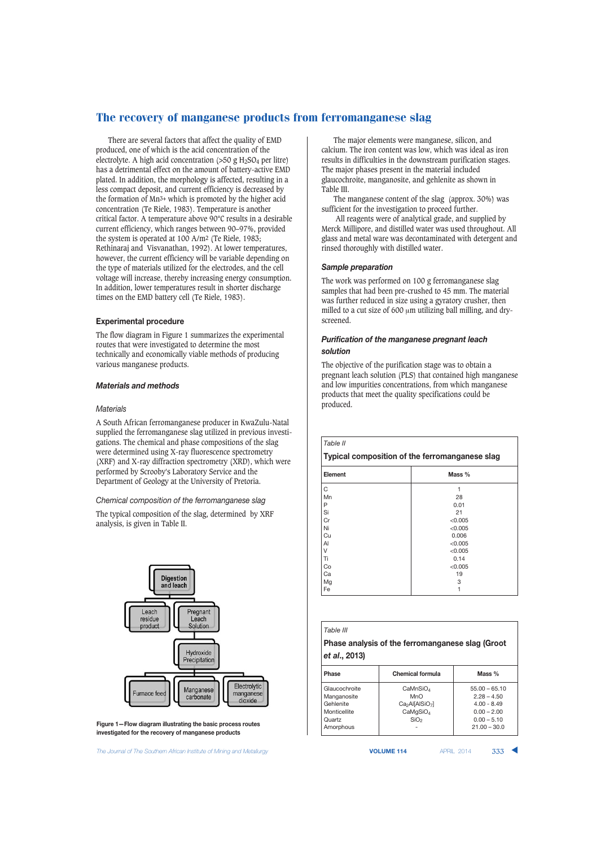There are several factors that affect the quality of EMD produced, one of which is the acid concentration of the electrolyte. A high acid concentration  $(>50 \text{ g H}_2SO_4 \text{ per litre})$ has a detrimental effect on the amount of battery-active EMD plated. In addition, the morphology is affected, resulting in a less compact deposit, and current efficiency is decreased by the formation of Mn3+ which is promoted by the higher acid concentration (Te Riele, 1983). Temperature is another critical factor. A temperature above 90°C results in a desirable current efficiency, which ranges between 90–97%, provided the system is operated at 100 A/m2 (Te Riele, 1983; Rethinaraj and Visvanathan, 1992). At lower temperatures, however, the current efficiency will be variable depending on the type of materials utilized for the electrodes, and the cell voltage will increase, thereby increasing energy consumption. In addition, lower temperatures result in shorter discharge times on the EMD battery cell (Te Riele, 1983).

#### **Experimental procedure**

The flow diagram in Figure 1 summarizes the experimental routes that were investigated to determine the most technically and economically viable methods of producing various manganese products.

#### *Materials and methods*

#### *Materials*

A South African ferromanganese producer in KwaZulu-Natal supplied the ferromanganese slag utilized in previous investigations. The chemical and phase compositions of the slag were determined using X-ray fluorescence spectrometry (XRF) and X-ray diffraction spectrometry (XRD), which were performed by Scrooby's Laboratory Service and the Department of Geology at the University of Pretoria.

#### *Chemical composition of the ferromanganese slag*

The typical composition of the slag, determined by XRF analysis, is given in Table II.



**Figure 1—Flow diagram illustrating the basic process routes investigated for the recovery of manganese products**

**The Journal of The Southern African Institute of Mining and Metallurgy <b>VOLUME 114** APRIL 2014 **333** 

The major elements were manganese, silicon, and calcium. The iron content was low, which was ideal as iron results in difficulties in the downstream purification stages. The major phases present in the material included glaucochroite, manganosite, and gehlenite as shown in Table III.

The manganese content of the slag (approx. 30%) was sufficient for the investigation to proceed further.

All reagents were of analytical grade, and supplied by Merck Millipore, and distilled water was used throughout. All glass and metal ware was decontaminated with detergent and rinsed thoroughly with distilled water.

#### *Sample preparation*

The work was performed on 100 g ferromanganese slag samples that had been pre-crushed to 45 mm. The material was further reduced in size using a gyratory crusher, then milled to a cut size of 600 μm utilizing ball milling, and dryscreened.

#### *Purification of the manganese pregnant leach solution*

The objective of the purification stage was to obtain a pregnant leach solution (PLS) that contained high manganese and low impurities concentrations, from which manganese products that meet the quality specifications could be produced.

| Table II |  |
|----------|--|
|----------|--|

#### **Typical composition of the ferromanganese slag**

| Element | Mass %  |  |
|---------|---------|--|
| C       | 1       |  |
| Mn      | 28      |  |
| P       | 0.01    |  |
| Si      | 21      |  |
| Cr      | < 0.005 |  |
| Ni      | < 0.005 |  |
| Cu      | 0.006   |  |
| Al      | < 0.005 |  |
| V       | < 0.005 |  |
| Ti      | 0.14    |  |
| Co      | < 0.005 |  |
| Ca      | 19      |  |
| Mg      | 3       |  |
| Fe      |         |  |

| Table III |
|-----------|
|-----------|

# **Phase analysis of the ferromanganese slag (Groot**  *et al***., 2013)**

| <b>Phase</b>  | <b>Chemical formula</b>                 | Mass %          |  |
|---------------|-----------------------------------------|-----------------|--|
| Glaucochroite | CaMnSiO <sub>4</sub>                    | $55.00 - 65.10$ |  |
| Manganosite   | MnO                                     | $2.28 - 4.50$   |  |
| Gehlenite     | Ca <sub>2</sub> Al[AlSiO <sub>7</sub> ] | $4.00 - 8.49$   |  |
| Monticellite  | CaMqSiO <sub>4</sub>                    | $0.00 - 2.00$   |  |
| Quartz        | SiO <sub>2</sub>                        | $0.00 - 5.10$   |  |
| Amorphous     |                                         | $21.00 - 30.0$  |  |
|               |                                         |                 |  |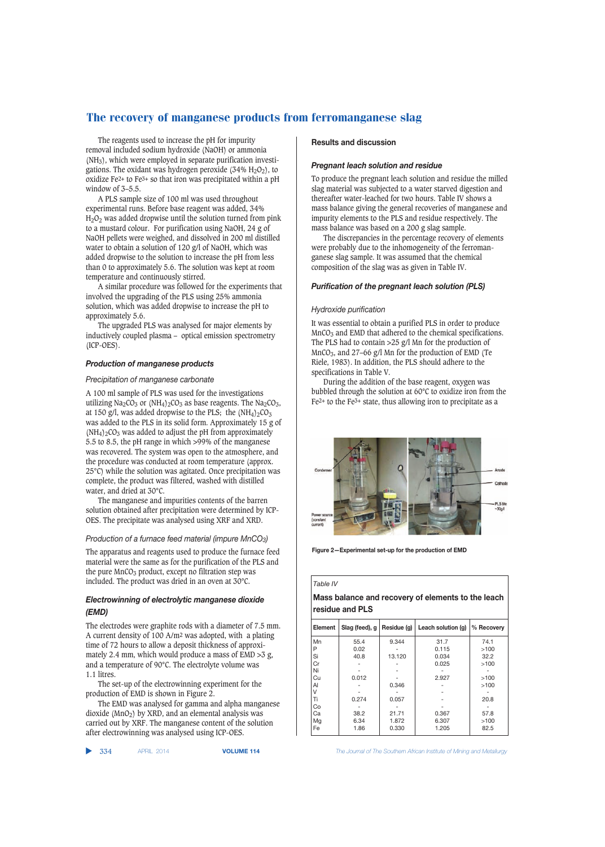The reagents used to increase the pH for impurity removal included sodium hydroxide (NaOH) or ammonia  $(NH<sub>3</sub>)$ , which were employed in separate purification investigations. The oxidant was hydrogen peroxide  $(34\% \text{ H}_2\text{O}_2)$ , to oxidize Fe2+ to Fe3+ so that iron was precipitated within a pH window of 3–5.5.

A PLS sample size of 100 ml was used throughout experimental runs. Before base reagent was added, 34% H2O2 was added dropwise until the solution turned from pink to a mustard colour. For purification using NaOH, 24 g of NaOH pellets were weighed, and dissolved in 200 ml distilled water to obtain a solution of 120 g/l of NaOH, which was added dropwise to the solution to increase the pH from less than 0 to approximately 5.6. The solution was kept at room temperature and continuously stirred.

A similar procedure was followed for the experiments that involved the upgrading of the PLS using 25% ammonia solution, which was added dropwise to increase the pH to approximately 5.6.

The upgraded PLS was analysed for major elements by inductively coupled plasma – optical emission spectrometry (ICP-OES).

#### *Production of manganese products*

#### *Precipitation of manganese carbonate*

A 100 ml sample of PLS was used for the investigations utilizing  $Na_2CO_3$  or  $(NH_4)_2CO_3$  as base reagents. The  $Na_2CO_3$ , at 150 g/l, was added dropwise to the PLS; the  $(NH_4)2CO_3$ was added to the PLS in its solid form. Approximately 15 g of  $(NH_4)$ <sub>2</sub>CO<sub>3</sub> was added to adjust the pH from approximately 5.5 to 8.5, the pH range in which >99% of the manganese was recovered. The system was open to the atmosphere, and the procedure was conducted at room temperature (approx. 25°C) while the solution was agitated. Once precipitation was complete, the product was filtered, washed with distilled water, and dried at 30°C.

The manganese and impurities contents of the barren solution obtained after precipitation were determined by ICP-OES. The precipitate was analysed using XRF and XRD.

#### *Production of a furnace feed material (impure MnCO3)*

The apparatus and reagents used to produce the furnace feed material were the same as for the purification of the PLS and the pure  $MnCO<sub>3</sub>$  product, except no filtration step was included. The product was dried in an oven at 30°C.

# *Electrowinning of electrolytic manganese dioxide (EMD)*

The electrodes were graphite rods with a diameter of 7.5 mm. A current density of 100 A/m2 was adopted, with a plating time of 72 hours to allow a deposit thickness of approximately 2.4 mm, which would produce a mass of  $EMD > 3$  g, and a temperature of 90°C. The electrolyte volume was 1.1 litres.

The set-up of the electrowinning experiment for the production of EMD is shown in Figure 2.

The EMD was analysed for gamma and alpha manganese dioxide (MnO2) by XRD, and an elemental analysis was carried out by XRF. The manganese content of the solution after electrowinning was analysed using ICP-OES.

▲

# **Results and discussion**

#### *Pregnant leach solution and residue*

To produce the pregnant leach solution and residue the milled slag material was subjected to a water starved digestion and thereafter water-leached for two hours. Table IV shows a mass balance giving the general recoveries of manganese and impurity elements to the PLS and residue respectively. The mass balance was based on a 200 g slag sample.

The discrepancies in the percentage recovery of elements were probably due to the inhomogeneity of the ferromanganese slag sample. It was assumed that the chemical composition of the slag was as given in Table IV.

#### *Purification of the pregnant leach solution (PLS)*

#### *Hydroxide purification*

It was essential to obtain a purified PLS in order to produce MnCO<sub>3</sub> and EMD that adhered to the chemical specifications. The PLS had to contain >25 g/l Mn for the production of  $MnCO<sub>3</sub>$ , and 27–66 g/l Mn for the production of EMD (Te Riele, 1983). In addition, the PLS should adhere to the specifications in Table V.

During the addition of the base reagent, oxygen was bubbled through the solution at 60°C to oxidize iron from the  $Fe<sup>2+</sup>$  to the Fe<sup> $3+$  state, thus allowing iron to precipitate as a</sup>



**Figure 2—Experimental set-up for the production of EMD**

#### *Table IV*

# **Mass balance and recovery of elements to the leach residue and PLS**

| Element | Slag (feed), g | Residue (g) | Leach solution (g) | % Recovery |
|---------|----------------|-------------|--------------------|------------|
| Mn      | 55.4           | 9.344       | 31.7               | 74.1       |
| P       | 0.02           |             | 0.115              | >100       |
| Si      | 40.8           | 13.120      | 0.034              | 32.2       |
| Cr      |                |             | 0.025              | >100       |
| Ni      |                |             |                    |            |
| Cu      | 0.012          |             | 2.927              | >100       |
| Al      |                | 0.346       |                    | >100       |
| V       |                |             |                    |            |
| Ti      | 0.274          | 0.057       |                    | 20.8       |
| Co      |                |             |                    |            |
| Cа      | 38.2           | 21.71       | 0.367              | 57.8       |
| Mg      | 6.34           | 1.872       | 6.307              | >100       |
| Fe      | 1.86           | 0.330       | 1.205              | 82.5       |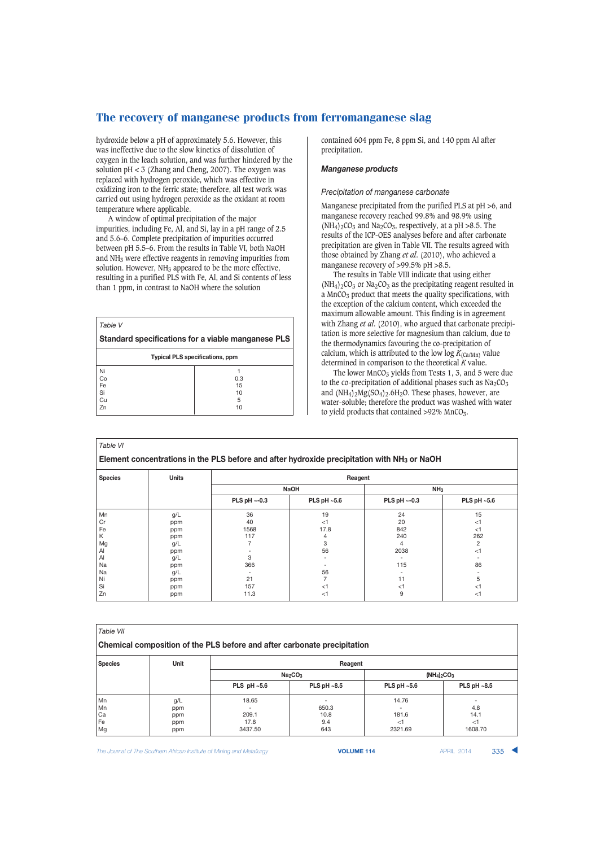hydroxide below a pH of approximately 5.6. However, this was ineffective due to the slow kinetics of dissolution of oxygen in the leach solution, and was further hindered by the solution  $pH < 3$  (Zhang and Cheng, 2007). The oxygen was replaced with hydrogen peroxide, which was effective in oxidizing iron to the ferric state; therefore, all test work was carried out using hydrogen peroxide as the oxidant at room temperature where applicable.

A window of optimal precipitation of the major impurities, including Fe, Al, and Si, lay in a pH range of 2.5 and 5.6–6. Complete precipitation of impurities occurred between pH 5.5–6. From the results in Table VI, both NaOH and NH3 were effective reagents in removing impurities from solution. However,  $NH<sub>3</sub>$  appeared to be the more effective, resulting in a purified PLS with Fe, Al, and Si contents of less than 1 ppm, in contrast to NaOH where the solution

| Table V                                |                                                    |  |  |
|----------------------------------------|----------------------------------------------------|--|--|
|                                        | Standard specifications for a viable manganese PLS |  |  |
| <b>Typical PLS specifications, ppm</b> |                                                    |  |  |
| Ni                                     |                                                    |  |  |
| Co                                     | 0.3                                                |  |  |
| Fe                                     | 15                                                 |  |  |
| Si                                     | 10                                                 |  |  |
| Cu                                     | 5                                                  |  |  |
| Zn                                     | 10                                                 |  |  |

contained 604 ppm Fe, 8 ppm Si, and 140 ppm Al after precipitation.

### *Manganese products*

#### *Precipitation of manganese carbonate*

Manganese precipitated from the purified PLS at pH >6, and manganese recovery reached 99.8% and 98.9% using  $(NH_4)_2CO_3$  and  $Na_2CO_3$ , respectively, at a pH >8.5. The results of the ICP-OES analyses before and after carbonate precipitation are given in Table VII. The results agreed with those obtained by Zhang *et al*. (2010), who achieved a manganese recovery of >99.5% pH >8.5.

The results in Table VIII indicate that using either  $(NH_4)_2CO_3$  or Na<sub>2</sub>CO<sub>3</sub> as the precipitating reagent resulted in a  $MnCO<sub>3</sub>$  product that meets the quality specifications, with the exception of the calcium content, which exceeded the maximum allowable amount. This finding is in agreement with Zhang *et al*. (2010), who argued that carbonate precipitation is more selective for magnesium than calcium, due to the thermodynamics favouring the co-precipitation of calcium, which is attributed to the low  $\log K_{\text{(Ca/Mn)}}$  value determined in comparison to the theoretical *K* value.

The lower  $MnCO<sub>3</sub>$  yields from Tests 1, 3, and 5 were due to the co-precipitation of additional phases such as  $Na<sub>2</sub>CO<sub>3</sub>$ and  $(NH_4)_{2}Mg(SO_4)_{2}.6H_2O$ . These phases, however, are water-soluble; therefore the product was washed with water to yield products that contained  $>92\%$  MnCO<sub>3</sub>.

| Table VI                                                                                                |                         |                    |               |                 |                |  |  |  |
|---------------------------------------------------------------------------------------------------------|-------------------------|--------------------|---------------|-----------------|----------------|--|--|--|
| Element concentrations in the PLS before and after hydroxide precipitation with NH <sub>3</sub> or NaOH |                         |                    |               |                 |                |  |  |  |
| <b>Species</b>                                                                                          | <b>Units</b><br>Reagent |                    |               |                 |                |  |  |  |
|                                                                                                         |                         |                    | <b>NaOH</b>   | NH <sub>3</sub> |                |  |  |  |
|                                                                                                         |                         | PLS pH $\sim$ -0.3 | PLS pH $~5.6$ | PLS pH ~- 0.3   | PLS pH $~-5.6$ |  |  |  |
| Mn                                                                                                      | g/L                     | 36                 | 19            | 24              | 15             |  |  |  |
| Cr                                                                                                      | ppm                     | 40                 | $<$ 1         | 20              | $<$ 1          |  |  |  |
| Fe                                                                                                      | ppm                     | 1568               | 17.8          | 842             | $<$ 1          |  |  |  |
| Κ                                                                                                       | ppm                     | 117                | 4             | 240             | 262            |  |  |  |
| Mg                                                                                                      | g/L                     |                    | 3             | 4               | 2              |  |  |  |
| Al                                                                                                      | ppm                     |                    | 56            | 2038            | $<$ 1          |  |  |  |
| $\mathsf{A}$                                                                                            | g/L                     | 3                  |               |                 |                |  |  |  |
| Na                                                                                                      | ppm                     | 366                |               | 115             | 86             |  |  |  |
| Na                                                                                                      | g/L                     |                    | 56            |                 |                |  |  |  |
| Ni                                                                                                      | ppm                     | 21                 |               | 11              | 5              |  |  |  |
| Si                                                                                                      | ppm                     | 157                | $<$ 1         | $<$ 1           | $<$ 1          |  |  |  |
| Zn                                                                                                      | ppm                     | 11.3               | $<$ 1         | 9               | $<$ 1          |  |  |  |

| Table VII<br>Chemical composition of the PLS before and after carbonate precipitation |     |                                 |             |               |                |  |  |  |
|---------------------------------------------------------------------------------------|-----|---------------------------------|-------------|---------------|----------------|--|--|--|
| <b>Unit</b><br><b>Species</b><br>Reagent                                              |     |                                 |             |               |                |  |  |  |
|                                                                                       |     | Na <sub>2</sub> CO <sub>3</sub> |             | $(NH4)2CO3$   |                |  |  |  |
|                                                                                       |     | PLS $pH - 5.6$                  | PLS pH ~8.5 | PLS pH $~5.6$ | PLS pH $~-8.5$ |  |  |  |
| Mn                                                                                    | g/L | 18.65                           |             | 14.76         |                |  |  |  |
| Mn                                                                                    | ppm |                                 | 650.3       |               | 4.8            |  |  |  |
| Ca                                                                                    | ppm | 209.1                           | 10.8        | 181.6         | 14.1           |  |  |  |
| Fe                                                                                    | ppm | 17.8                            | 9.4         | $<$ 1         | $<$ 1          |  |  |  |
| Mg                                                                                    | ppm | 3437.50                         | 643         | 2321.69       | 1608.70        |  |  |  |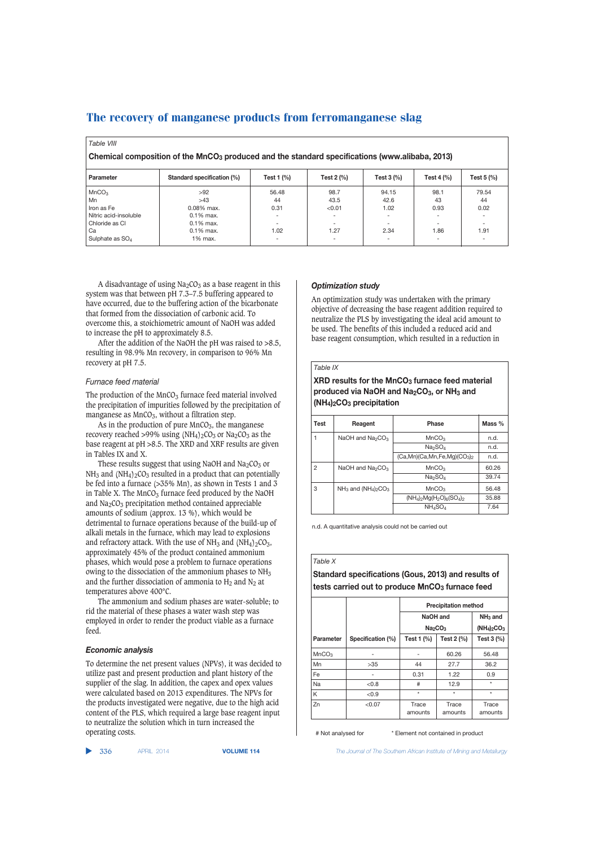| Table VIII                                                                                                                  |               |       |        |       |                          |       |  |  |
|-----------------------------------------------------------------------------------------------------------------------------|---------------|-------|--------|-------|--------------------------|-------|--|--|
| Chemical composition of the MnCO <sub>3</sub> produced and the standard specifications (www.alibaba, 2013)                  |               |       |        |       |                          |       |  |  |
| Standard specification (%)<br>Test 2 (%)<br>Test 4 (%)<br>Test $5$ $%$<br>Test 1 (%)<br>Test $3$ $\frac{9}{6}$<br>Parameter |               |       |        |       |                          |       |  |  |
| MnCO <sub>3</sub>                                                                                                           | >92           | 56.48 | 98.7   | 94.15 | 98.1                     | 79.54 |  |  |
| Mn                                                                                                                          | >43           | 44    | 43.5   | 42.6  | 43                       | 44    |  |  |
| Iron as Fe                                                                                                                  | $0.08\%$ max. | 0.31  | < 0.01 | 1.02  | 0.93                     | 0.02  |  |  |
| Nitric acid-insoluble                                                                                                       | $0.1\%$ max.  |       |        |       | -                        | -     |  |  |
| Chloride as CI                                                                                                              | $0.1\%$ max.  |       |        |       | $\overline{\phantom{0}}$ | -     |  |  |
| Cа                                                                                                                          | $0.1\%$ max.  | 1.02  | 1.27   | 2.34  | 1.86                     | 1.91  |  |  |
| Sulphate as $SO_4$                                                                                                          | 1% max.       |       | -      | ۰     | -                        | -     |  |  |

A disadvantage of using  $Na<sub>2</sub>CO<sub>3</sub>$  as a base reagent in this system was that between pH 7.3–7.5 buffering appeared to have occurred, due to the buffering action of the bicarbonate that formed from the dissociation of carbonic acid. To overcome this, a stoichiometric amount of NaOH was added to increase the pH to approximately 8.5.

After the addition of the NaOH the pH was raised to >8.5, resulting in 98.9% Mn recovery, in comparison to 96% Mn recovery at pH 7.5.

#### *Furnace feed material*

The production of the  $MnCO<sub>3</sub>$  furnace feed material involved the precipitation of impurities followed by the precipitation of manganese as  $MnCO<sub>3</sub>$ , without a filtration step.

As in the production of pure  $MnCO<sub>3</sub>$ , the manganese recovery reached >99% using  $(NH<sub>4</sub>)<sub>2</sub>CO<sub>3</sub>$  or  $Na<sub>2</sub>CO<sub>3</sub>$  as the base reagent at pH >8.5. The XRD and XRF results are given in Tables IX and X.

These results suggest that using NaOH and  $Na<sub>2</sub>CO<sub>3</sub>$  or  $NH<sub>3</sub>$  and  $(NH<sub>4</sub>)<sub>2</sub>CO<sub>3</sub>$  resulted in a product that can potentially be fed into a furnace (>35% Mn), as shown in Tests 1 and 3 in Table X. The  $MnCO<sub>3</sub>$  furnace feed produced by the NaOH and  $Na<sub>2</sub>CO<sub>3</sub>$  precipitation method contained appreciable amounts of sodium (approx. 13 %), which would be detrimental to furnace operations because of the build-up of alkali metals in the furnace, which may lead to explosions and refractory attack. With the use of  $NH_3$  and  $(NH_4)_2CO_3$ , approximately 45% of the product contained ammonium phases, which would pose a problem to furnace operations owing to the dissociation of the ammonium phases to  $NH<sub>3</sub>$ and the further dissociation of ammonia to  $H_2$  and  $N_2$  at temperatures above 400°C.

The ammonium and sodium phases are water-soluble; to rid the material of these phases a water wash step was employed in order to render the product viable as a furnace feed.

#### *Economic analysis*

To determine the net present values (NPVs), it was decided to utilize past and present production and plant history of the supplier of the slag. In addition, the capex and opex values were calculated based on 2013 expenditures. The NPVs for the products investigated were negative, due to the high acid content of the PLS, which required a large base reagent input to neutralize the solution which in turn increased the operating costs.

#### ▲

# *Optimization study*

An optimization study was undertaken with the primary objective of decreasing the base reagent addition required to neutralize the PLS by investigating the ideal acid amount to be used. The benefits of this included a reduced acid and base reagent consumption, which resulted in a reduction in

#### *Table IX*

**XRD results for the MnCO3 furnace feed material produced via NaOH and Na2CO3, or NH3 and (NH4)2CO3 precipitation**

| Test           | Reagent                                  | Phase                              | Mass % |
|----------------|------------------------------------------|------------------------------------|--------|
|                | NaOH and Na <sub>2</sub> CO <sub>3</sub> | MnCO <sub>3</sub>                  | n.d.   |
|                |                                          | Na <sub>2</sub> SO <sub>4</sub>    | n.d.   |
|                |                                          | $(Ca, Mn)(Ca, Mn, Fe, Mg)(CO3)2$   | n.d.   |
| $\overline{2}$ | NaOH and $Na2CO3$                        | MnCO <sub>3</sub>                  | 60.26  |
|                |                                          | Na <sub>2</sub> SO <sub>4</sub>    | 39.74  |
| 3              | $NH_3$ and $(NH_4)_2CO_3$                | MnCO <sub>3</sub>                  | 56.48  |
|                |                                          | $(NH_4)_{2}Mg(H_2O)_{6}(SO_4)_{2}$ | 35.88  |
|                |                                          | NH <sub>4</sub> SO <sub>4</sub>    | 7.64   |

n.d. A quantitative analysis could not be carried out

#### *Table X*

**Standard specifications (Gous, 2013) and results of** tests carried out to produce MnCO<sub>3</sub> furnace feed

|                   |                   | <b>Precipitation method</b>     |                  |                  |
|-------------------|-------------------|---------------------------------|------------------|------------------|
|                   |                   | NaOH and                        |                  | $NH3$ and        |
|                   |                   | Na <sub>2</sub> CO <sub>3</sub> |                  | $(NH4)2CO3$      |
| Parameter         | Specification (%) | Test 1 $(\%)$                   | Test 2 (%)       | Test 3 (%)       |
| MnCO <sub>3</sub> |                   |                                 | 60.26            | 56.48            |
| Mn                | >35               | 44                              | 27.7             | 36.2             |
| Fe                |                   | 0.31                            | 1.22             | 0.9              |
| Na                | < 0.8             | #                               | 12.9             | $\star$          |
| Κ                 | < 0.9             | $\star$                         | $\star$          | $\star$          |
| Zn                | < 0.07            | Trace<br>amounts                | Trace<br>amounts | Trace<br>amounts |

# Not analysed for \* Element not contained in product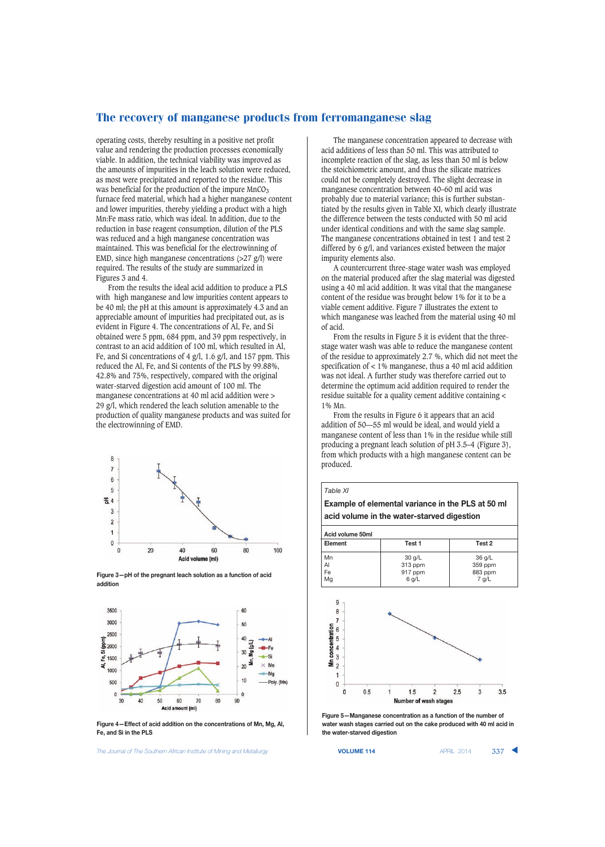operating costs, thereby resulting in a positive net profit value and rendering the production processes economically viable. In addition, the technical viability was improved as the amounts of impurities in the leach solution were reduced, as most were precipitated and reported to the residue. This was beneficial for the production of the impure  $MnCO<sub>3</sub>$ furnace feed material, which had a higher manganese content and lower impurities, thereby yielding a product with a high Mn:Fe mass ratio, which was ideal. In addition, due to the reduction in base reagent consumption, dilution of the PLS was reduced and a high manganese concentration was maintained. This was beneficial for the electrowinning of EMD, since high manganese concentrations (>27 g/l) were required. The results of the study are summarized in Figures 3 and 4.

From the results the ideal acid addition to produce a PLS with high manganese and low impurities content appears to be 40 ml; the pH at this amount is approximately 4.3 and an appreciable amount of impurities had precipitated out, as is evident in Figure 4. The concentrations of Al, Fe, and Si obtained were 5 ppm, 684 ppm, and 39 ppm respectively, in contrast to an acid addition of 100 ml, which resulted in Al, Fe, and Si concentrations of 4 g/l, 1.6 g/l, and 157 ppm. This reduced the Al, Fe, and Si contents of the PLS by 99.88%, 42.8% and 75%, respectively, compared with the original water-starved digestion acid amount of 100 ml. The manganese concentrations at 40 ml acid addition were > 29 g/l, which rendered the leach solution amenable to the production of quality manganese products and was suited for the electrowinning of EMD.



**Figure 3—pH of the pregnant leach solution as a function of acid addition**



**Figure 4—Effect of acid addition on the concentrations of Mn, Mg, Al, Fe, and Si in the PLS**

The Journal of The Southern African Institute of Mining and Metallurgy **VOLUME 114 VOLUME 114** APRIL 2014 337

The manganese concentration appeared to decrease with acid additions of less than 50 ml. This was attributed to incomplete reaction of the slag, as less than 50 ml is below the stoichiometric amount, and thus the silicate matrices could not be completely destroyed. The slight decrease in manganese concentration between 40–60 ml acid was probably due to material variance; this is further substantiated by the results given in Table XI, which clearly illustrate the difference between the tests conducted with 50 ml acid under identical conditions and with the same slag sample. The manganese concentrations obtained in test 1 and test 2 differed by 6 g/l, and variances existed between the major impurity elements also.

A countercurrent three-stage water wash was employed on the material produced after the slag material was digested using a 40 ml acid addition. It was vital that the manganese content of the residue was brought below 1% for it to be a viable cement additive. Figure 7 illustrates the extent to which manganese was leached from the material using 40 ml of acid.

From the results in Figure 5 it is evident that the threestage water wash was able to reduce the manganese content of the residue to approximately 2.7 %, which did not meet the specification of < 1% manganese, thus a 40 ml acid addition was not ideal. A further study was therefore carried out to determine the optimum acid addition required to render the residue suitable for a quality cement additive containing < 1% Mn.

From the results in Figure 6 it appears that an acid addition of 50—55 ml would be ideal, and would yield a manganese content of less than 1% in the residue while still producing a pregnant leach solution of pH 3.5–4 (Figure 3), from which products with a high manganese content can be produced.





**Figure 5—Manganese concentration as a function of the number of water wash stages carried out on the cake produced with 40 ml acid in the water-starved digestion**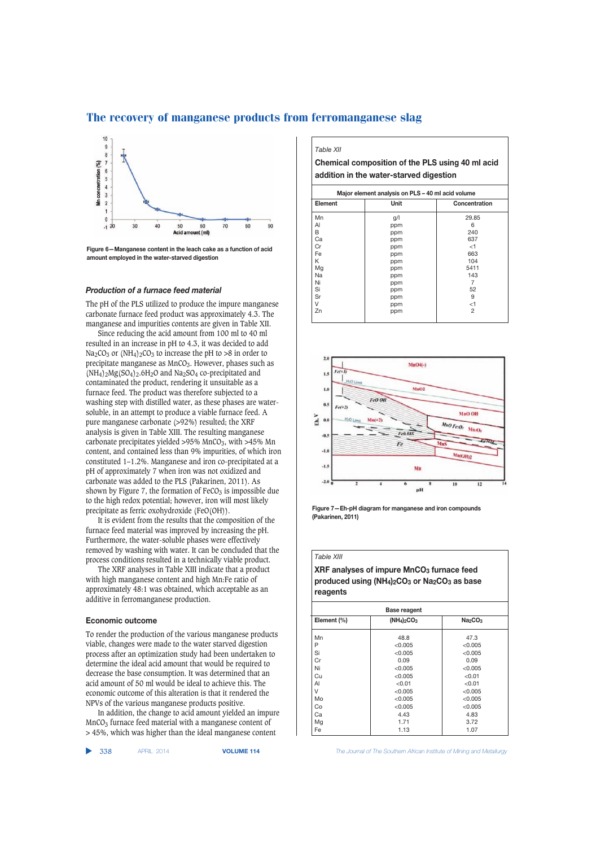

#### *Production of a furnace feed material*

The pH of the PLS utilized to produce the impure manganese carbonate furnace feed product was approximately 4.3. The manganese and impurities contents are given in Table XII.

Since reducing the acid amount from 100 ml to 40 ml resulted in an increase in pH to 4.3, it was decided to add  $Na<sub>2</sub>CO<sub>3</sub>$  or  $(NH<sub>4</sub>)<sub>2</sub>CO<sub>3</sub>$  to increase the pH to >8 in order to precipitate manganese as MnCO<sub>3</sub>. However, phases such as  $(MH_4)_2Mg(SO_4)_2.6H_2O$  and Na<sub>2</sub>SO<sub>4</sub> co-precipitated and contaminated the product, rendering it unsuitable as a furnace feed. The product was therefore subjected to a washing step with distilled water, as these phases are watersoluble, in an attempt to produce a viable furnace feed. A pure manganese carbonate (>92%) resulted; the XRF analysis is given in Table XIII. The resulting manganese carbonate precipitates yielded >95%  $MnCO<sub>3</sub>$ , with >45%  $Mn$ content, and contained less than 9% impurities, of which iron constituted 1–1.2%. Manganese and iron co-precipitated at a pH of approximately 7 when iron was not oxidized and carbonate was added to the PLS (Pakarinen, 2011). As shown by Figure 7, the formation of  $FeCO<sub>3</sub>$  is impossible due to the high redox potential; however, iron will most likely precipitate as ferric oxohydroxide (FeO(OH)).

It is evident from the results that the composition of the furnace feed material was improved by increasing the pH. Furthermore, the water-soluble phases were effectively removed by washing with water. It can be concluded that the process conditions resulted in a technically viable product.

The XRF analyses in Table XIII indicate that a product with high manganese content and high Mn:Fe ratio of approximately 48:1 was obtained, which acceptable as an additive in ferromanganese production.

#### **Economic outcome**

To render the production of the various manganese products viable, changes were made to the water starved digestion process after an optimization study had been undertaken to determine the ideal acid amount that would be required to decrease the base consumption. It was determined that an acid amount of 50 ml would be ideal to achieve this. The economic outcome of this alteration is that it rendered the NPVs of the various manganese products positive.

In addition, the change to acid amount yielded an impure  $MnCO<sub>3</sub>$  furnace feed material with a manganese content of > 45%, which was higher than the ideal manganese content

▲

#### *Table XII*

**Chemical composition of the PLS using 40 ml acid addition in the water-starved digestion**

| Element   | Unit | Concentration  |  |
|-----------|------|----------------|--|
| Mn        | g/l  | 29.85          |  |
| AI        | ppm  | 6              |  |
| В         | ppm  | 240            |  |
| Сa        | ppm  | 637            |  |
| Cr        | ppm  | $<$ 1          |  |
| Fe        | ppm  | 663            |  |
| Κ         | ppm  | 104            |  |
| Mg        | ppm  | 5411           |  |
| <b>Na</b> | ppm  | 143            |  |
| Ni        | ppm  | 7              |  |
| Si        | ppm  | 52             |  |
| Sr        | ppm  | 9              |  |
| V         | ppm  | $<$ 1          |  |
| Zn        | ppm  | $\overline{2}$ |  |



**Figure 7—Eh-pH diagram for manganese and iron compounds (Pakarinen, 2011)**

#### *Table XIII*

**XRF analyses of impure MnCO3 furnace feed produced using (NH4)2CO3 or Na2CO3 as base reagents**

| <b>Base reagent</b> |                                 |  |  |  |
|---------------------|---------------------------------|--|--|--|
| $(NH4)2CO3$         | Na <sub>2</sub> CO <sub>3</sub> |  |  |  |
| 48.8                | 47.3                            |  |  |  |
| < 0.005             | < 0.005                         |  |  |  |
| < 0.005             | < 0.005                         |  |  |  |
| 0.09                | 0.09                            |  |  |  |
| < 0.005             | < 0.005                         |  |  |  |
| < 0.005             | < 0.01                          |  |  |  |
| < 0.01              | < 0.01                          |  |  |  |
| < 0.005             | < 0.005                         |  |  |  |
| < 0.005             | < 0.005                         |  |  |  |
| < 0.005             | < 0.005                         |  |  |  |
| 4.43                | 4.83                            |  |  |  |
| 1.71                | 3.72                            |  |  |  |
| 1.13                | 1.07                            |  |  |  |
|                     |                                 |  |  |  |

**Figure 6—Manganese content in the leach cake as a function of acid amount employed in the water-starved digestion**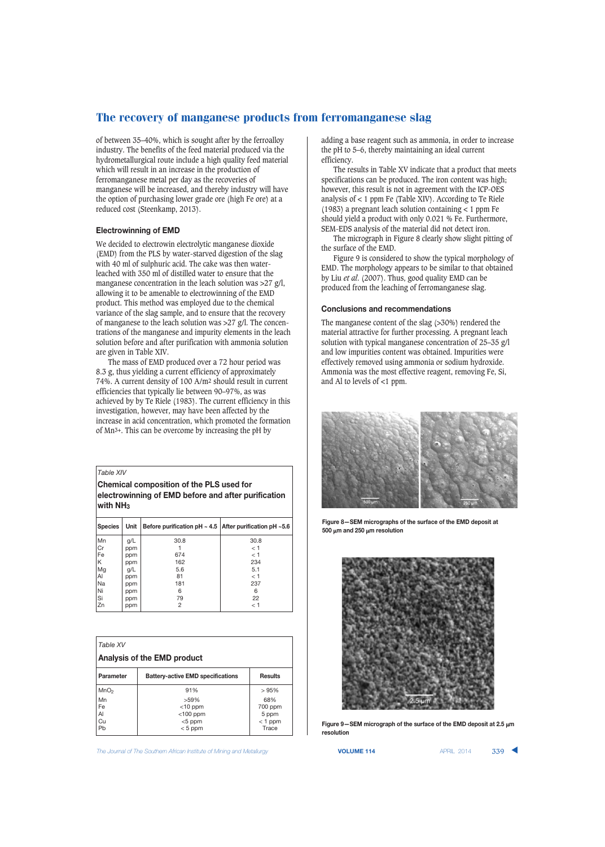of between 35–40%, which is sought after by the ferroalloy industry. The benefits of the feed material produced via the hydrometallurgical route include a high quality feed material which will result in an increase in the production of ferromanganese metal per day as the recoveries of manganese will be increased, and thereby industry will have the option of purchasing lower grade ore (high Fe ore) at a reduced cost (Steenkamp, 2013).

#### **Electrowinning of EMD**

We decided to electrowin electrolytic manganese dioxide (EMD) from the PLS by water-starved digestion of the slag with 40 ml of sulphuric acid. The cake was then waterleached with 350 ml of distilled water to ensure that the manganese concentration in the leach solution was >27 g/l, allowing it to be amenable to electrowinning of the EMD product. This method was employed due to the chemical variance of the slag sample, and to ensure that the recovery of manganese to the leach solution was >27 g/l. The concentrations of the manganese and impurity elements in the leach solution before and after purification with ammonia solution are given in Table XIV.

The mass of EMD produced over a 72 hour period was 8.3 g, thus yielding a current efficiency of approximately 74%. A current density of 100 A/m2 should result in current efficiencies that typically lie between 90–97%, as was achieved by by Te Riele (1983). The current efficiency in this investigation, however, may have been affected by the increase in acid concentration, which promoted the formation of Mn3+. This can be overcome by increasing the pH by

*Table XIV*

**Chemical composition of the PLS used for electrowinning of EMD before and after purification with NH3**

| <b>Species</b> | Unit | Before purification pH $\sim$ 4.5   After purification pH $\sim$ 5.6 |      |  |
|----------------|------|----------------------------------------------------------------------|------|--|
| Mn             | g/L  | 30.8                                                                 | 30.8 |  |
| <b>Cr</b>      | ppm  |                                                                      | < 1  |  |
| Fe             | ppm  | 674                                                                  | < 1  |  |
| ΙK             | ppm  | 162                                                                  | 234  |  |
| Mg             | g/L  | 5.6                                                                  | 5.1  |  |
| Al             | ppm  | 81                                                                   | < 1  |  |
| Na             | ppm  | 181                                                                  | 237  |  |
| Ni             | ppm  | 6                                                                    | 6    |  |
| Si             | ppm  | 79                                                                   | 22   |  |
| Zn             | ppm  | 2                                                                    | < 1  |  |

| Table XV                    |                                          |                         |  |  |
|-----------------------------|------------------------------------------|-------------------------|--|--|
| Analysis of the EMD product |                                          |                         |  |  |
| Parameter                   | <b>Battery-active EMD specifications</b> | <b>Results</b>          |  |  |
| MnO <sub>2</sub>            | 91%                                      | >95%                    |  |  |
| Mn<br>Fe<br>Al              | $>59\%$<br>$<$ 10 ppm<br>$<$ 100 ppm     | 68%<br>700 ppm<br>5 ppm |  |  |
| Cu<br>Pb                    | $<$ 5 ppm<br>$< 5$ ppm                   | $<$ 1 ppm<br>Trace      |  |  |

The Journal of The Southern African Institute of Mining and Metallurgy **VOLUME 114 VOLUME 114** APRIL 2014 **339 \** 

adding a base reagent such as ammonia, in order to increase the pH to 5–6, thereby maintaining an ideal current efficiency.

The results in Table XV indicate that a product that meets specifications can be produced. The iron content was high; however, this result is not in agreement with the ICP-OES analysis of < 1 ppm Fe (Table XIV). According to Te Riele (1983) a pregnant leach solution containing < 1 ppm Fe should yield a product with only 0.021 % Fe. Furthermore, SEM-EDS analysis of the material did not detect iron.

The micrograph in Figure 8 clearly show slight pitting of the surface of the EMD.

Figure 9 is considered to show the typical morphology of EMD. The morphology appears to be similar to that obtained by Liu *et al*. (2007). Thus, good quality EMD can be produced from the leaching of ferromanganese slag.

#### **Conclusions and recommendations**

The manganese content of the slag (>30%) rendered the material attractive for further processing. A pregnant leach solution with typical manganese concentration of 25–35 g/l and low impurities content was obtained. Impurities were effectively removed using ammonia or sodium hydroxide. Ammonia was the most effective reagent, removing Fe, Si, and Al to levels of <1 ppm.



**Figure 8—SEM micrographs of the surface of the EMD deposit at 500** μ**m and 250** μ**m resolution**



Pb < 5 ppm Trace **Figure 9—SEM micrograph of the surface of the EMD deposit at 2.5** μ**<sup>m</sup> resolution**